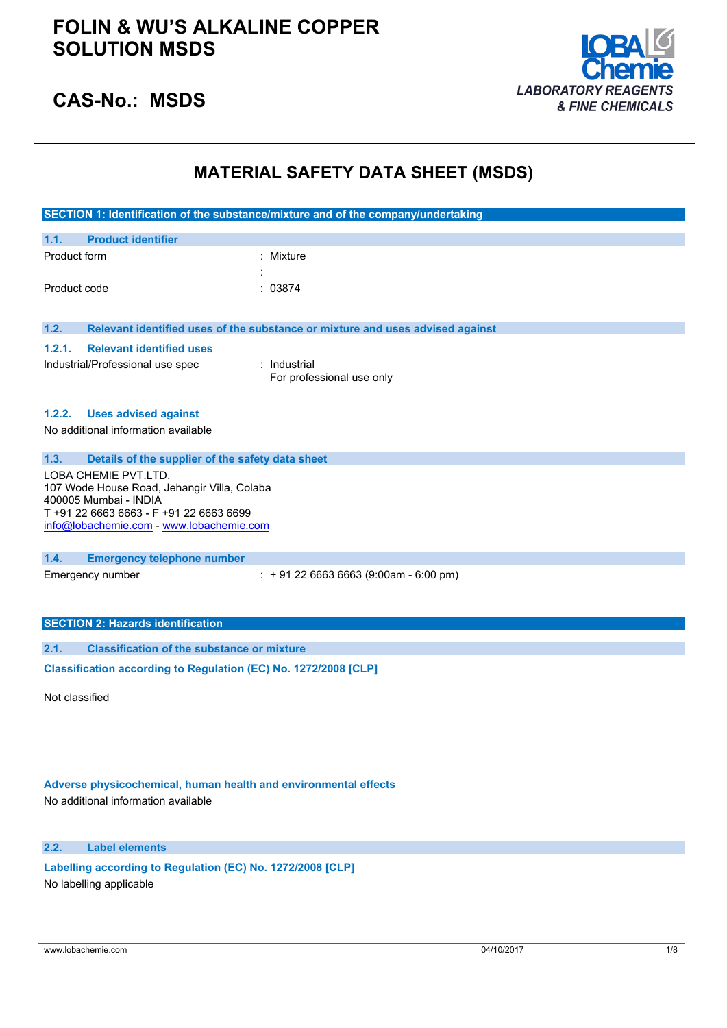

## **CAS-No.: MSDS**

## **MATERIAL SAFETY DATA SHEET (MSDS)**

|              |                                                                  | SECTION 1: Identification of the substance/mixture and of the company/undertaking |
|--------------|------------------------------------------------------------------|-----------------------------------------------------------------------------------|
| 1.1.         | <b>Product identifier</b>                                        |                                                                                   |
| Product form |                                                                  | : Mixture                                                                         |
|              |                                                                  |                                                                                   |
| Product code |                                                                  | : 03874                                                                           |
| 1.2.         |                                                                  | Relevant identified uses of the substance or mixture and uses advised against     |
|              |                                                                  |                                                                                   |
| 1.2.1.       | <b>Relevant identified uses</b>                                  |                                                                                   |
|              | Industrial/Professional use spec                                 | : Industrial<br>For professional use only                                         |
|              |                                                                  |                                                                                   |
| 1.2.2.       | <b>Uses advised against</b>                                      |                                                                                   |
|              | No additional information available                              |                                                                                   |
| 1.3.         | Details of the supplier of the safety data sheet                 |                                                                                   |
|              | LOBA CHEMIE PVT.LTD.                                             |                                                                                   |
|              | 107 Wode House Road, Jehangir Villa, Colaba                      |                                                                                   |
|              | 400005 Mumbai - INDIA<br>T +91 22 6663 6663 - F +91 22 6663 6699 |                                                                                   |
|              | info@lobachemie.com - www.lobachemie.com                         |                                                                                   |
|              |                                                                  |                                                                                   |
| 1.4.         | <b>Emergency telephone number</b>                                |                                                                                   |
|              | Emergency number                                                 | $: +912266636663(9:00am - 6:00 pm)$                                               |
|              |                                                                  |                                                                                   |
|              |                                                                  |                                                                                   |
|              | <b>SECTION 2: Hazards identification</b>                         |                                                                                   |
| 2.1.         | <b>Classification of the substance or mixture</b>                |                                                                                   |
|              | Classification according to Regulation (EC) No. 1272/2008 [CLP]  |                                                                                   |

Not classified

### **Adverse physicochemical, human health and environmental effects**

No additional information available

### **2.2. Label elements**

**Labelling according to** Regulation (EC) No. 1272/2008 [CLP] No labelling applicable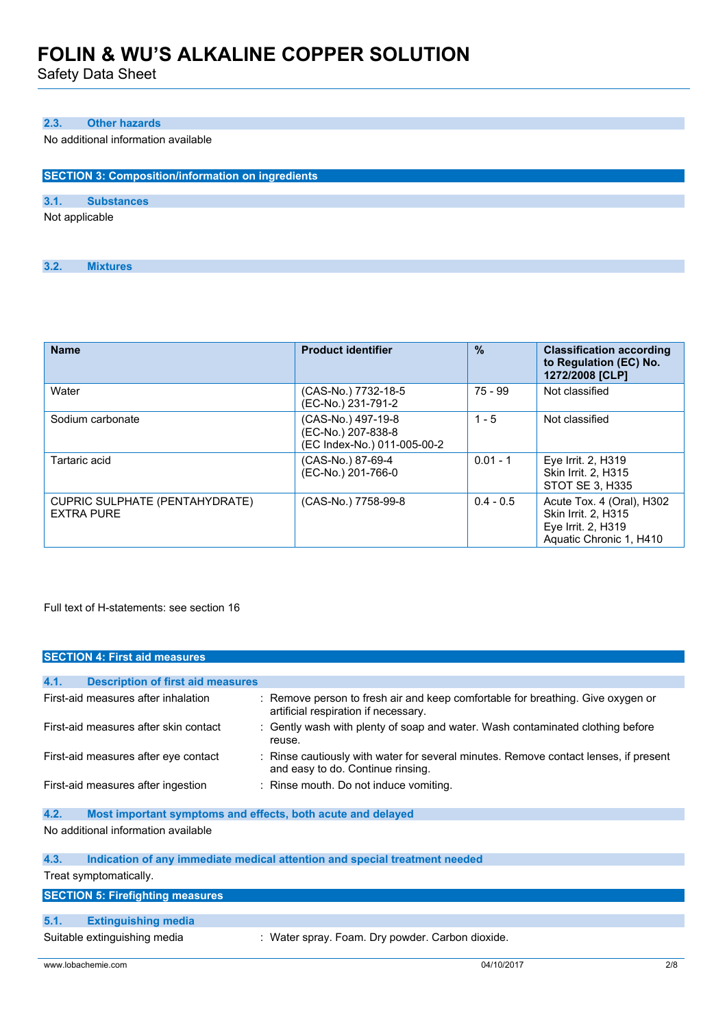Safety Data Sheet

### **2.3. Other hazards**

No additional information available

| <b>SECTION 3: Composition/information on ingredients</b> |                   |  |
|----------------------------------------------------------|-------------------|--|
|                                                          |                   |  |
| 3.1.                                                     | <b>Substances</b> |  |
| Not applicable                                           |                   |  |

| 3.2.<br><b>Mixtures</b> |
|-------------------------|
|-------------------------|

| <b>Name</b>                                         | <b>Product identifier</b>                                               | $\frac{0}{0}$ | <b>Classification according</b><br>to Regulation (EC) No.<br>1272/2008 [CLP]                      |
|-----------------------------------------------------|-------------------------------------------------------------------------|---------------|---------------------------------------------------------------------------------------------------|
| Water                                               | (CAS-No.) 7732-18-5<br>(EC-No.) 231-791-2                               | 75 - 99       | Not classified                                                                                    |
| Sodium carbonate                                    | (CAS-No.) 497-19-8<br>(EC-No.) 207-838-8<br>(EC Index-No.) 011-005-00-2 | $1 - 5$       | Not classified                                                                                    |
| Tartaric acid                                       | (CAS-No.) 87-69-4<br>(EC-No.) 201-766-0                                 | $0.01 - 1$    | Eye Irrit. 2, H319<br><b>Skin Irrit. 2, H315</b><br>STOT SE 3, H335                               |
| CUPRIC SULPHATE (PENTAHYDRATE)<br><b>EXTRA PURE</b> | (CAS-No.) 7758-99-8                                                     | $0.4 - 0.5$   | Acute Tox. 4 (Oral), H302<br>Skin Irrit. 2, H315<br>Eye Irrit. 2, H319<br>Aquatic Chronic 1, H410 |

Full text of H-statements: see section 16

| <b>SECTION 4: First aid measures</b>             |                                                                                                                           |
|--------------------------------------------------|---------------------------------------------------------------------------------------------------------------------------|
|                                                  |                                                                                                                           |
| 4.1.<br><b>Description of first aid measures</b> |                                                                                                                           |
| First-aid measures after inhalation              | : Remove person to fresh air and keep comfortable for breathing. Give oxygen or<br>artificial respiration if necessary.   |
| First-aid measures after skin contact            | : Gently wash with plenty of soap and water. Wash contaminated clothing before<br>reuse.                                  |
| First-aid measures after eye contact             | : Rinse cautiously with water for several minutes. Remove contact lenses, if present<br>and easy to do. Continue rinsing. |
| First-aid measures after ingestion               | : Rinse mouth. Do not induce vomiting.                                                                                    |
| 4.2.                                             | Most important symptoms and effects, both acute and delayed                                                               |
| No additional information available              |                                                                                                                           |
| 4.3.                                             | Indication of any immediate medical attention and special treatment needed                                                |
| Treat symptomatically.                           |                                                                                                                           |
| <b>SECTION 5: Firefighting measures</b>          |                                                                                                                           |
|                                                  |                                                                                                                           |
| 5.1.<br><b>Extinguishing media</b>               |                                                                                                                           |
| Suitable extinguishing media                     | : Water spray. Foam. Dry powder. Carbon dioxide.                                                                          |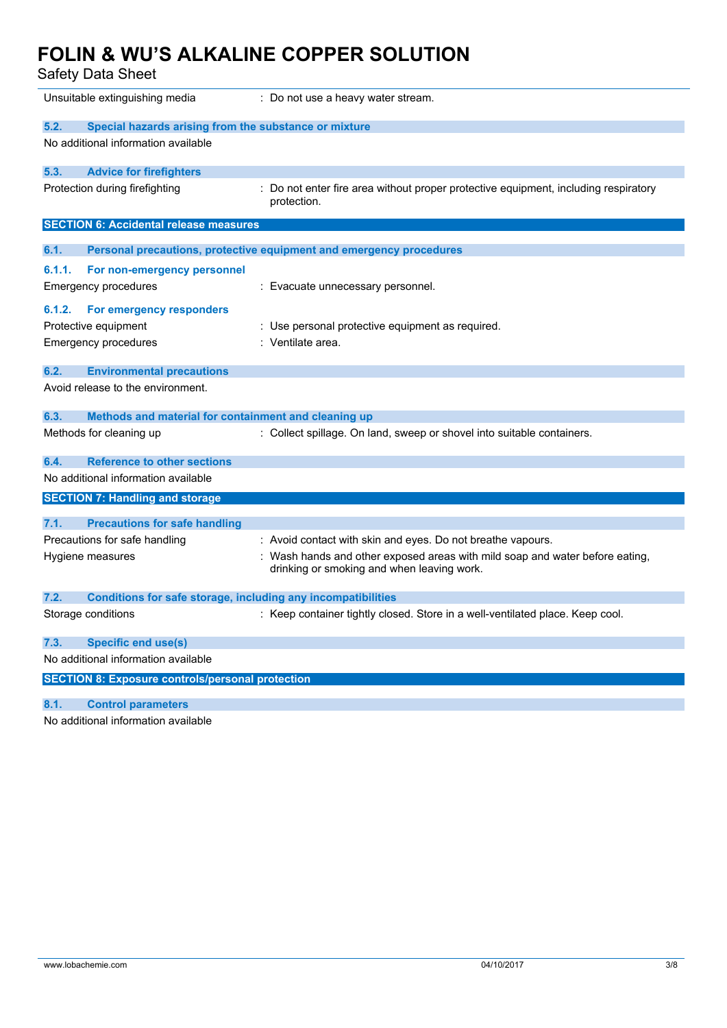Safety Data Sheet

|        | Unsuitable extinguishing media                                      | : Do not use a heavy water stream.                                                                 |
|--------|---------------------------------------------------------------------|----------------------------------------------------------------------------------------------------|
| 5.2.   | Special hazards arising from the substance or mixture               |                                                                                                    |
|        | No additional information available                                 |                                                                                                    |
|        |                                                                     |                                                                                                    |
| 5.3.   | <b>Advice for firefighters</b>                                      |                                                                                                    |
|        | Protection during firefighting                                      | : Do not enter fire area without proper protective equipment, including respiratory<br>protection. |
|        | <b>SECTION 6: Accidental release measures</b>                       |                                                                                                    |
| 6.1.   |                                                                     | <b>Personal precautions, protective equipment and emergency procedures</b>                         |
| 6.1.1. | For non-emergency personnel                                         |                                                                                                    |
|        | Emergency procedures                                                | : Evacuate unnecessary personnel.                                                                  |
|        |                                                                     |                                                                                                    |
| 6.1.2. | For emergency responders                                            |                                                                                                    |
|        | Protective equipment                                                | : Use personal protective equipment as required.                                                   |
|        | Emergency procedures                                                | : Ventilate area.                                                                                  |
|        |                                                                     |                                                                                                    |
| 6.2.   | <b>Environmental precautions</b>                                    |                                                                                                    |
|        | Avoid release to the environment.                                   |                                                                                                    |
| 6.3.   | Methods and material for containment and cleaning up                |                                                                                                    |
|        | Methods for cleaning up                                             | : Collect spillage. On land, sweep or shovel into suitable containers.                             |
|        |                                                                     |                                                                                                    |
| 6.4.   | <b>Reference to other sections</b>                                  |                                                                                                    |
|        | No additional information available                                 |                                                                                                    |
|        | <b>SECTION 7: Handling and storage</b>                              |                                                                                                    |
|        |                                                                     |                                                                                                    |
| 7.1.   | <b>Precautions for safe handling</b>                                |                                                                                                    |
|        | Precautions for safe handling                                       | : Avoid contact with skin and eyes. Do not breathe vapours.                                        |
|        | Hygiene measures                                                    | Wash hands and other exposed areas with mild soap and water before eating,                         |
|        |                                                                     | drinking or smoking and when leaving work.                                                         |
|        |                                                                     |                                                                                                    |
| 7.2.   | <b>Conditions for safe storage, including any incompatibilities</b> |                                                                                                    |
|        | Storage conditions                                                  | : Keep container tightly closed. Store in a well-ventilated place. Keep cool.                      |
|        |                                                                     |                                                                                                    |
| 7.3.   | <b>Specific end use(s)</b>                                          |                                                                                                    |
|        | No additional information available                                 |                                                                                                    |
|        | <b>SECTION 8: Exposure controls/personal protection</b>             |                                                                                                    |
| 8.1.   | <b>Control parameters</b>                                           |                                                                                                    |
|        |                                                                     |                                                                                                    |

No additional information available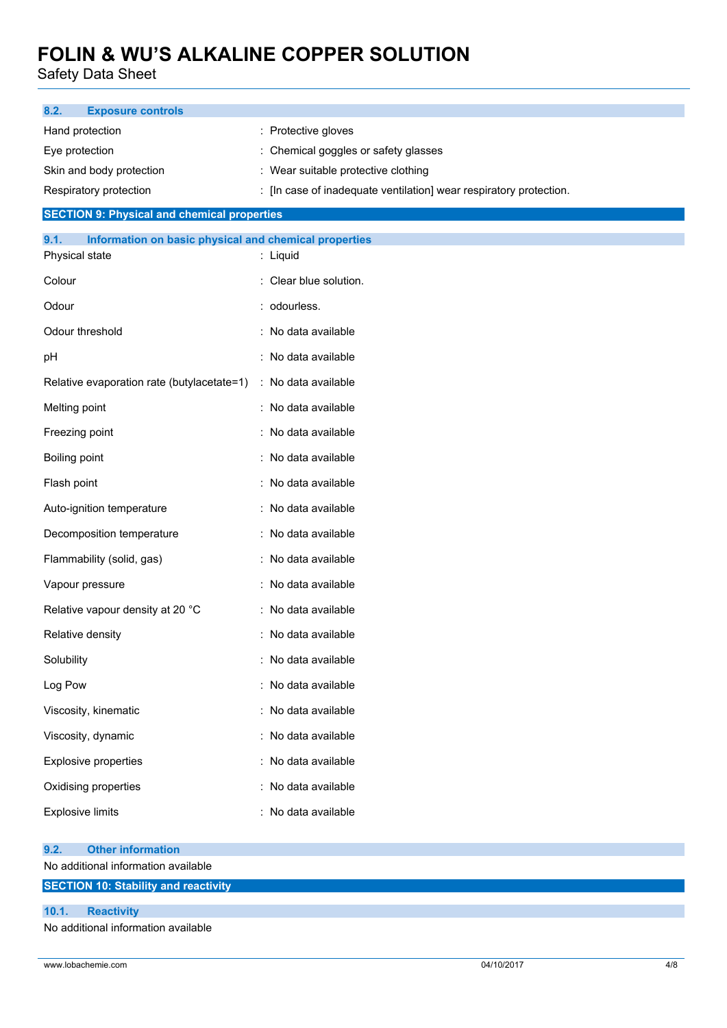Safety Data Sheet

| 8.2.<br><b>Exposure controls</b>                              |                                                                                                           |
|---------------------------------------------------------------|-----------------------------------------------------------------------------------------------------------|
| Hand protection                                               | : Protective gloves                                                                                       |
| Eye protection                                                | Chemical goggles or safety glasses                                                                        |
| Skin and body protection<br>Respiratory protection            | : Wear suitable protective clothing<br>: [In case of inadequate ventilation] wear respiratory protection. |
| <b>SECTION 9: Physical and chemical properties</b>            |                                                                                                           |
| 9.1.<br>Information on basic physical and chemical properties |                                                                                                           |
| Physical state                                                | : Liquid                                                                                                  |
| Colour                                                        | : Clear blue solution.                                                                                    |
| Odour                                                         | : odourless.                                                                                              |
| Odour threshold                                               | : No data available                                                                                       |
| рH                                                            | : No data available                                                                                       |
| Relative evaporation rate (butylacetate=1)                    | : No data available                                                                                       |
| Melting point                                                 | : No data available                                                                                       |
| Freezing point                                                | : No data available                                                                                       |
| Boiling point                                                 | : No data available                                                                                       |
| Flash point                                                   | : No data available                                                                                       |
| Auto-ignition temperature                                     | : No data available                                                                                       |
| Decomposition temperature                                     | : No data available                                                                                       |
| Flammability (solid, gas)                                     | : No data available                                                                                       |
| Vapour pressure                                               | : No data available                                                                                       |
| Relative vapour density at 20 °C                              | : No data available                                                                                       |
| Relative density                                              | : No data available                                                                                       |
| Solubility                                                    | : No data available                                                                                       |
| Log Pow                                                       | : No data available                                                                                       |
| Viscosity, kinematic                                          | : No data available                                                                                       |
| Viscosity, dynamic                                            | : No data available                                                                                       |
| <b>Explosive properties</b>                                   | : No data available                                                                                       |
| Oxidising properties                                          | : No data available                                                                                       |
| <b>Explosive limits</b>                                       | : No data available                                                                                       |
| <b>Other information</b><br>9.2.                              |                                                                                                           |
| No additional information available                           |                                                                                                           |
| <b>SECTION 10: Stability and reactivity</b>                   |                                                                                                           |
| 10.1.<br><b>Reactivity</b>                                    |                                                                                                           |

No additional information available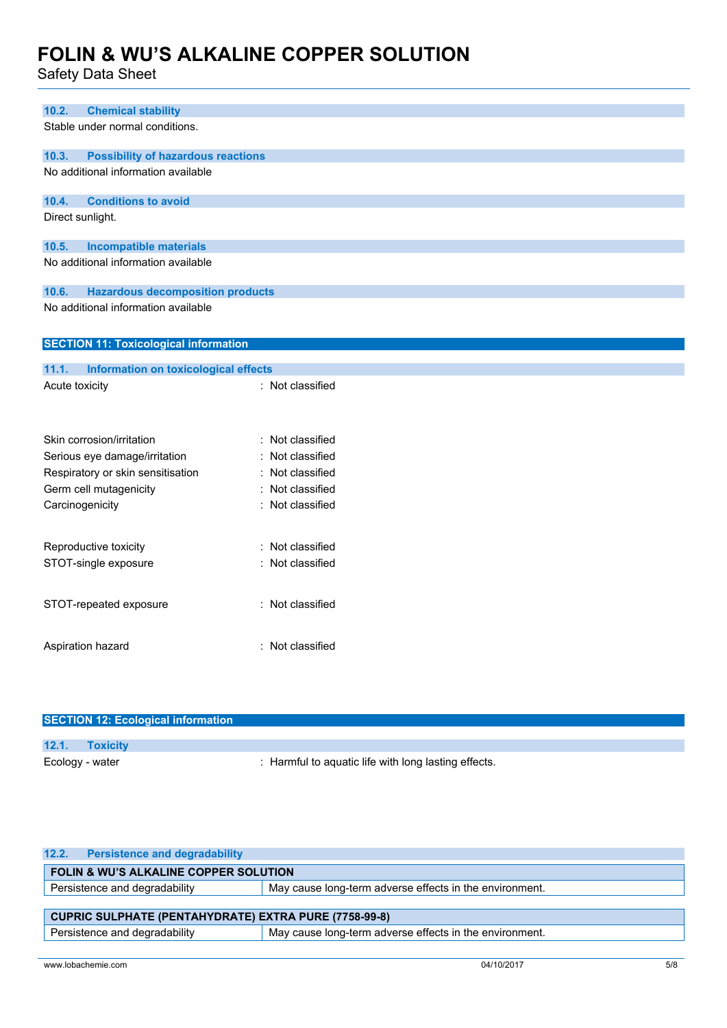Safety Data Sheet

| 10.2.                  | <b>Chemical stability</b>                    |                  |  |  |  |
|------------------------|----------------------------------------------|------------------|--|--|--|
|                        | Stable under normal conditions.              |                  |  |  |  |
|                        |                                              |                  |  |  |  |
| 10.3.                  | <b>Possibility of hazardous reactions</b>    |                  |  |  |  |
|                        | No additional information available          |                  |  |  |  |
|                        |                                              |                  |  |  |  |
| 10.4.                  | <b>Conditions to avoid</b>                   |                  |  |  |  |
|                        | Direct sunlight.                             |                  |  |  |  |
| 10.5.                  | <b>Incompatible materials</b>                |                  |  |  |  |
|                        | No additional information available          |                  |  |  |  |
|                        |                                              |                  |  |  |  |
| 10.6.                  | <b>Hazardous decomposition products</b>      |                  |  |  |  |
|                        | No additional information available          |                  |  |  |  |
|                        |                                              |                  |  |  |  |
|                        | <b>SECTION 11: Toxicological information</b> |                  |  |  |  |
|                        |                                              |                  |  |  |  |
| 11.1.                  | Information on toxicological effects         |                  |  |  |  |
| Acute toxicity         |                                              | : Not classified |  |  |  |
|                        |                                              |                  |  |  |  |
|                        |                                              |                  |  |  |  |
|                        | Skin corrosion/irritation                    | : Not classified |  |  |  |
|                        | Serious eye damage/irritation                | Not classified   |  |  |  |
|                        | Respiratory or skin sensitisation            | Not classified   |  |  |  |
|                        | Germ cell mutagenicity                       | Not classified   |  |  |  |
|                        | Carcinogenicity                              | : Not classified |  |  |  |
|                        |                                              |                  |  |  |  |
|                        | Reproductive toxicity                        | Not classified   |  |  |  |
|                        | STOT-single exposure                         | : Not classified |  |  |  |
|                        |                                              |                  |  |  |  |
|                        |                                              |                  |  |  |  |
| STOT-repeated exposure |                                              | : Not classified |  |  |  |
|                        |                                              |                  |  |  |  |
|                        | Aspiration hazard                            | : Not classified |  |  |  |
|                        |                                              |                  |  |  |  |
|                        |                                              |                  |  |  |  |

| <b>SECTION 12: Ecological information</b> |                                                      |  |  |
|-------------------------------------------|------------------------------------------------------|--|--|
| 12.1. Toxicity                            |                                                      |  |  |
| Ecology - water                           | : Harmful to aquatic life with long lasting effects. |  |  |

| <b>Persistence and degradability</b><br>12.2.                                            |                                                         |  |  |
|------------------------------------------------------------------------------------------|---------------------------------------------------------|--|--|
| <b>FOLIN &amp; WU'S ALKALINE COPPER SOLUTION</b>                                         |                                                         |  |  |
| Persistence and degradability<br>May cause long-term adverse effects in the environment. |                                                         |  |  |
|                                                                                          |                                                         |  |  |
| <b>CUPRIC SULPHATE (PENTAHYDRATE) EXTRA PURE (7758-99-8)</b>                             |                                                         |  |  |
| Persistence and degradability                                                            | May cause long-term adverse effects in the environment. |  |  |
|                                                                                          |                                                         |  |  |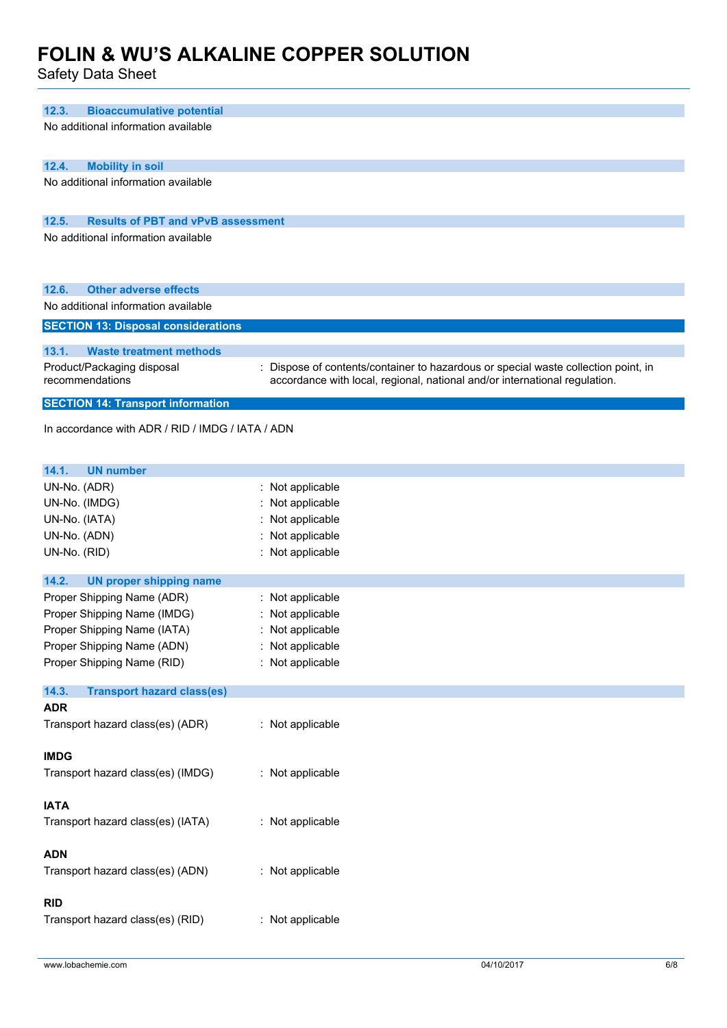Safety Data Sheet

| 12.3.<br><b>Bioaccumulative potential</b>          |                                                                                                                                                                |  |  |  |
|----------------------------------------------------|----------------------------------------------------------------------------------------------------------------------------------------------------------------|--|--|--|
| No additional information available                |                                                                                                                                                                |  |  |  |
|                                                    |                                                                                                                                                                |  |  |  |
| 12.4.<br><b>Mobility in soil</b>                   |                                                                                                                                                                |  |  |  |
| No additional information available                |                                                                                                                                                                |  |  |  |
|                                                    |                                                                                                                                                                |  |  |  |
|                                                    |                                                                                                                                                                |  |  |  |
| 12.5.<br><b>Results of PBT and vPvB assessment</b> |                                                                                                                                                                |  |  |  |
| No additional information available                |                                                                                                                                                                |  |  |  |
|                                                    |                                                                                                                                                                |  |  |  |
| 12.6.<br><b>Other adverse effects</b>              |                                                                                                                                                                |  |  |  |
| No additional information available                |                                                                                                                                                                |  |  |  |
| <b>SECTION 13: Disposal considerations</b>         |                                                                                                                                                                |  |  |  |
|                                                    |                                                                                                                                                                |  |  |  |
| 13.1.<br><b>Waste treatment methods</b>            |                                                                                                                                                                |  |  |  |
| Product/Packaging disposal<br>recommendations      | Dispose of contents/container to hazardous or special waste collection point, in<br>accordance with local, regional, national and/or international regulation. |  |  |  |
|                                                    |                                                                                                                                                                |  |  |  |
| <b>SECTION 14: Transport information</b>           |                                                                                                                                                                |  |  |  |
| In accordance with ADR / RID / IMDG / IATA / ADN   |                                                                                                                                                                |  |  |  |
|                                                    |                                                                                                                                                                |  |  |  |
|                                                    |                                                                                                                                                                |  |  |  |
| 14.1.<br><b>UN number</b><br>UN-No. (ADR)          |                                                                                                                                                                |  |  |  |
| UN-No. (IMDG)                                      | : Not applicable<br>: Not applicable                                                                                                                           |  |  |  |
| UN-No. (IATA)                                      | Not applicable                                                                                                                                                 |  |  |  |
| UN-No. (ADN)                                       | : Not applicable                                                                                                                                               |  |  |  |
| UN-No. (RID)                                       | : Not applicable                                                                                                                                               |  |  |  |
|                                                    |                                                                                                                                                                |  |  |  |
| 14.2.<br><b>UN proper shipping name</b>            |                                                                                                                                                                |  |  |  |
| Proper Shipping Name (ADR)                         | : Not applicable                                                                                                                                               |  |  |  |
| Proper Shipping Name (IMDG)                        | : Not applicable                                                                                                                                               |  |  |  |
| Proper Shipping Name (IATA)                        | : Not applicable                                                                                                                                               |  |  |  |
| Proper Shipping Name (ADN)                         | : Not applicable                                                                                                                                               |  |  |  |
| Proper Shipping Name (RID)                         | : Not applicable                                                                                                                                               |  |  |  |
| 14.3.<br><b>Transport hazard class(es)</b>         |                                                                                                                                                                |  |  |  |
| <b>ADR</b>                                         |                                                                                                                                                                |  |  |  |
| Transport hazard class(es) (ADR)                   | : Not applicable                                                                                                                                               |  |  |  |
|                                                    |                                                                                                                                                                |  |  |  |
| <b>IMDG</b>                                        |                                                                                                                                                                |  |  |  |
| Transport hazard class(es) (IMDG)                  | : Not applicable                                                                                                                                               |  |  |  |
|                                                    |                                                                                                                                                                |  |  |  |
| <b>IATA</b>                                        |                                                                                                                                                                |  |  |  |
| Transport hazard class(es) (IATA)                  | : Not applicable                                                                                                                                               |  |  |  |
|                                                    |                                                                                                                                                                |  |  |  |
| <b>ADN</b>                                         |                                                                                                                                                                |  |  |  |
| Transport hazard class(es) (ADN)                   | : Not applicable                                                                                                                                               |  |  |  |
|                                                    |                                                                                                                                                                |  |  |  |
| <b>RID</b>                                         |                                                                                                                                                                |  |  |  |
| Transport hazard class(es) (RID)                   | : Not applicable                                                                                                                                               |  |  |  |
|                                                    |                                                                                                                                                                |  |  |  |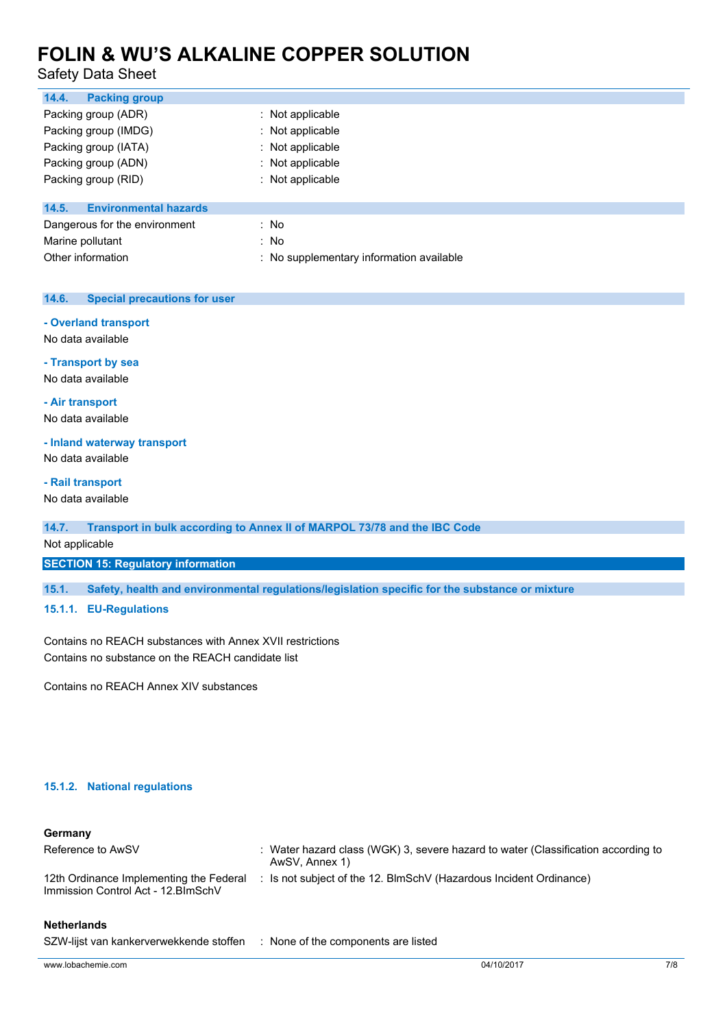### Safety Data Sheet

| 14.4.<br><b>Packing group</b>         |                                          |
|---------------------------------------|------------------------------------------|
| Packing group (ADR)                   | $:$ Not applicable                       |
| Packing group (IMDG)                  | : Not applicable                         |
| Packing group (IATA)                  | : Not applicable                         |
| Packing group (ADN)                   | : Not applicable                         |
| Packing group (RID)                   | : Not applicable                         |
| <b>Environmental hazards</b><br>14.5. |                                          |
| Dangerous for the environment         | : No                                     |
| Marine pollutant                      | : No                                     |
| Other information                     | : No supplementary information available |

#### **14.6. Special precautions for user**

#### **- Overland transport**

No data available

**- Transport by sea**

No data available

**- Air transport**

No data available

#### **- Inland waterway transport**

No data available

#### **- Rail transport**

No data available

#### **14.7. Transport in bulk according to Annex II of MARPOL 73/78 and the IBC Code**

Not applicable

**SECTION 15: Regulatory information**

**15.1. Safety, health and environmental regulations/legislation specific for the substance or mixture**

### **15.1.1. EU-Regulations**

Contains no REACH substances with Annex XVII restrictions Contains no substance on the REACH candidate list

Contains no REACH Annex XIV substances

#### **15.1.2. National regulations**

#### **Germany**

| Reference to AwSV                                                              | : Water hazard class (WGK) 3, severe hazard to water (Classification according to<br>AwSV, Annex 1) |
|--------------------------------------------------------------------------------|-----------------------------------------------------------------------------------------------------|
| 12th Ordinance Implementing the Federal<br>Immission Control Act - 12. BlmSchV | : Is not subject of the 12. BlmSchV (Hazardous Incident Ordinance)                                  |

#### **Netherlands**

SZW-lijst van kankerverwekkende stoffen : None of the components are listed